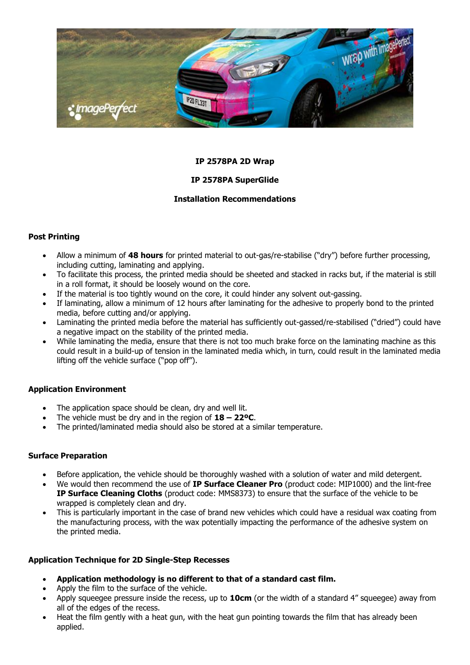

## **IP 2578PA 2D Wrap**

# **IP 2578PA SuperGlide**

## **Installation Recommendations**

## **Post Printing**

- Allow a minimum of **48 hours** for printed material to out-gas/re-stabilise ("dry") before further processing, including cutting, laminating and applying.
- To facilitate this process, the printed media should be sheeted and stacked in racks but, if the material is still in a roll format, it should be loosely wound on the core.
- If the material is too tightly wound on the core, it could hinder any solvent out-gassing.
- If laminating, allow a minimum of 12 hours after laminating for the adhesive to properly bond to the printed media, before cutting and/or applying.
- Laminating the printed media before the material has sufficiently out-gassed/re-stabilised ("dried") could have a negative impact on the stability of the printed media.
- While laminating the media, ensure that there is not too much brake force on the laminating machine as this could result in a build-up of tension in the laminated media which, in turn, could result in the laminated media lifting off the vehicle surface ("pop off").

# **Application Environment**

- The application space should be clean, dry and well lit.
- The vehicle must be dry and in the region of **18 – 22ºC**.
- The printed/laminated media should also be stored at a similar temperature.

#### **Surface Preparation**

- Before application, the vehicle should be thoroughly washed with a solution of water and mild detergent.
- We would then recommend the use of **IP Surface Cleaner Pro** (product code: MIP1000) and the lint-free **IP Surface Cleaning Cloths** (product code: MMS8373) to ensure that the surface of the vehicle to be wrapped is completely clean and dry.
- This is particularly important in the case of brand new vehicles which could have a residual wax coating from the manufacturing process, with the wax potentially impacting the performance of the adhesive system on the printed media.

# **Application Technique for 2D Single-Step Recesses**

- **Application methodology is no different to that of a standard cast film.**
- Apply the film to the surface of the vehicle.
- Apply squeegee pressure inside the recess, up to **10cm** (or the width of a standard 4" squeegee) away from all of the edges of the recess.
- Heat the film gently with a heat gun, with the heat gun pointing towards the film that has already been applied.